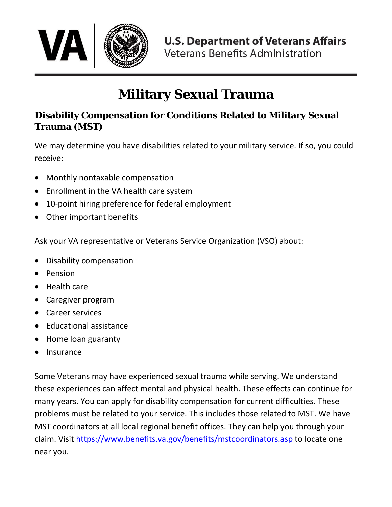

# **Military Sexual Trauma**

## **Disability Compensation for Conditions Related to Military Sexual Trauma (MST)**

We may determine you have disabilities related to your military service. If so, you could receive:

- Monthly nontaxable compensation
- Enrollment in the VA health care system
- 10-point hiring preference for federal employment
- Other important benefits

Ask your VA representative or Veterans Service Organization (VSO) about:

- Disability compensation
- Pension
- Health care
- Caregiver program
- Career services
- Educational assistance
- Home loan guaranty
- **Insurance**

Some Veterans may have experienced sexual trauma while serving. We understand these experiences can affect mental and physical health. These effects can continue for many years. You can apply for disability compensation for current difficulties. These problems must be related to your service. This includes those related to MST. We have MST coordinators at all local regional benefit offices. They can help you through your claim. Visit<https://www.benefits.va.gov/benefits/mstcoordinators.asp> to locate one near you.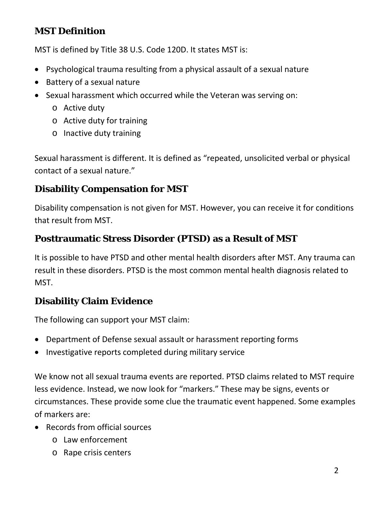## **MST Definition**

MST is defined by Title 38 U.S. Code 120D. It states MST is:

- Psychological trauma resulting from a physical assault of a sexual nature
- Battery of a sexual nature
- Sexual harassment which occurred while the Veteran was serving on:
	- o Active duty
	- o Active duty for training
	- o Inactive duty training

Sexual harassment is different. It is defined as "repeated, unsolicited verbal or physical contact of a sexual nature."

#### **Disability Compensation for MST**

Disability compensation is not given for MST. However, you can receive it for conditions that result from MST.

#### **Posttraumatic Stress Disorder (PTSD) as a Result of MST**

It is possible to have PTSD and other mental health disorders after MST. Any trauma can result in these disorders. PTSD is the most common mental health diagnosis related to MST.

#### **Disability Claim Evidence**

The following can support your MST claim:

- Department of Defense sexual assault or harassment reporting forms
- Investigative reports completed during military service

We know not all sexual trauma events are reported. PTSD claims related to MST require less evidence. Instead, we now look for "markers." These may be signs, events or circumstances. These provide some clue the traumatic event happened. Some examples of markers are:

- Records from official sources
	- o Law enforcement
	- o Rape crisis centers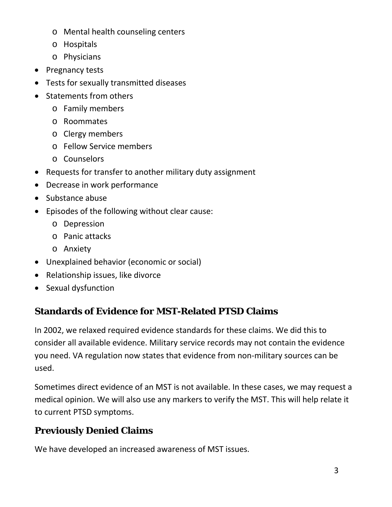- o Mental health counseling centers
- o Hospitals
- o Physicians
- Pregnancy tests
- Tests for sexually transmitted diseases
- Statements from others
	- o Family members
	- o Roommates
	- o Clergy members
	- o Fellow Service members
	- o Counselors
- Requests for transfer to another military duty assignment
- Decrease in work performance
- Substance abuse
- Episodes of the following without clear cause:
	- o Depression
	- o Panic attacks
	- o Anxiety
- Unexplained behavior (economic or social)
- Relationship issues, like divorce
- Sexual dysfunction

#### **Standards of Evidence for MST-Related PTSD Claims**

In 2002, we relaxed required evidence standards for these claims. We did this to consider all available evidence. Military service records may not contain the evidence you need. VA regulation now states that evidence from non-military sources can be used.

Sometimes direct evidence of an MST is not available. In these cases, we may request a medical opinion. We will also use any markers to verify the MST. This will help relate it to current PTSD symptoms.

## **Previously Denied Claims**

We have developed an increased awareness of MST issues.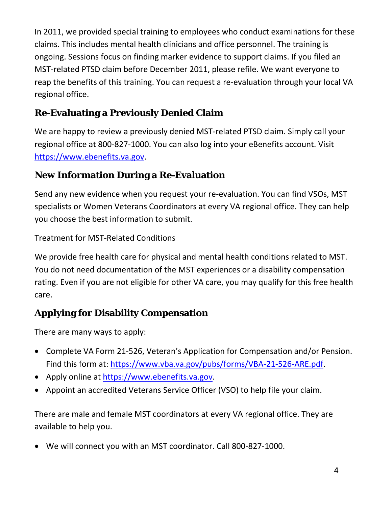In 2011, we provided special training to employees who conduct examinations for these claims. This includes mental health clinicians and office personnel. The training is ongoing. Sessions focus on finding marker evidence to support claims. If you filed an MST-related PTSD claim before December 2011, please refile. We want everyone to reap the benefits of this training. You can request a re-evaluation through your local VA regional office.

# **Re-Evaluating a Previously Denied Claim**

We are happy to review a previously denied MST-related PTSD claim. Simply call your regional office at 800-827-1000. You can also log into your eBenefits account. Visit [https://www.ebenefits.va.gov.](https://www.ebenefits.va.gov/)

## **New Information During a Re-Evaluation**

Send any new evidence when you request your re-evaluation. You can find VSOs, MST specialists or Women Veterans Coordinators at every VA regional office. They can help you choose the best information to submit.

Treatment for MST-Related Conditions

We provide free health care for physical and mental health conditions related to MST. You do not need documentation of the MST experiences or a disability compensation rating. Even if you are not eligible for other VA care, you may qualify for this free health care.

# **Applying for Disability Compensation**

There are many ways to apply:

- Complete VA Form 21-526, Veteran's Application for Compensation and/or Pension. Find this form at: [https://www.vba.va.gov/pubs/forms/VBA-21-526-ARE.pdf.](https://www.vba.va.gov/pubs/forms/VBA-21-526-ARE.pdf)
- Apply online at [https://www.ebenefits.va.gov.](https://www.ebenefits.va.gov/)
- Appoint an accredited Veterans Service Officer (VSO) to help file your claim.

There are male and female MST coordinators at every VA regional office. They are available to help you.

• We will connect you with an MST coordinator. Call 800-827-1000.